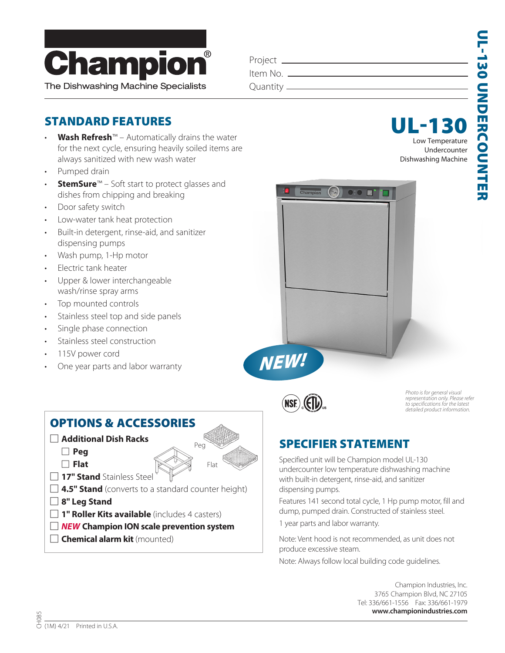

| Project _  |  |
|------------|--|
| Item No.   |  |
| Quantity — |  |
|            |  |

 $\blacksquare$ 

### STANDARD FEATURES

- **Wash Refresh**™ Automatically drains the water for the next cycle, ensuring heavily soiled items are always sanitized with new wash water
- Pumped drain
- **StemSure**™ Soft start to protect glasses and dishes from chipping and breaking
- Door safety switch
- Low-water tank heat protection
- Built-in detergent, rinse-aid, and sanitizer dispensing pumps
- Wash pump, 1-Hp motor
- Electric tank heater
- Upper & lower interchangeable wash/rinse spray arms
- Top mounted controls
- Stainless steel top and side panels
- Single phase connection
- Stainless steel construction
- 115V power cord
- One year parts and labor warranty



UL-13



*NEW!*

*Photo is for general visual representation only. Please refer to specifications for the latest detailed product information.*

## SPECIFIER STATEMENT

Specified unit will be Champion model UL-130 undercounter low temperature dishwashing machine with built-in detergent, rinse-aid, and sanitizer dispensing pumps.

Features 141 second total cycle, 1 Hp pump motor, fill and dump, pumped drain. Constructed of stainless steel.

1 year parts and labor warranty.

Note: Vent hood is not recommended, as unit does not produce excessive steam.

Note: Always follow local building code guidelines.

Champion Industries, Inc. 3765 Champion Blvd, NC 27105 Tel: 336/661-1556 Fax: 336/661-1979  **www.championindustries.com**

### OPTIONS & ACCESSORIES

- : **Additional Dish Racks**
	- : **Peg**
	- : **Flat**
- **17" Stand** Stainless Steel
- **4.5" Stand** (converts to a standard counter height)
- : **8" Leg Stand**
- **1" Roller Kits available** (includes 4 casters)
- : *NEW* **Champion ION scale prevention system**
- **Chemical alarm kit** (mounted)

Peg

Flat